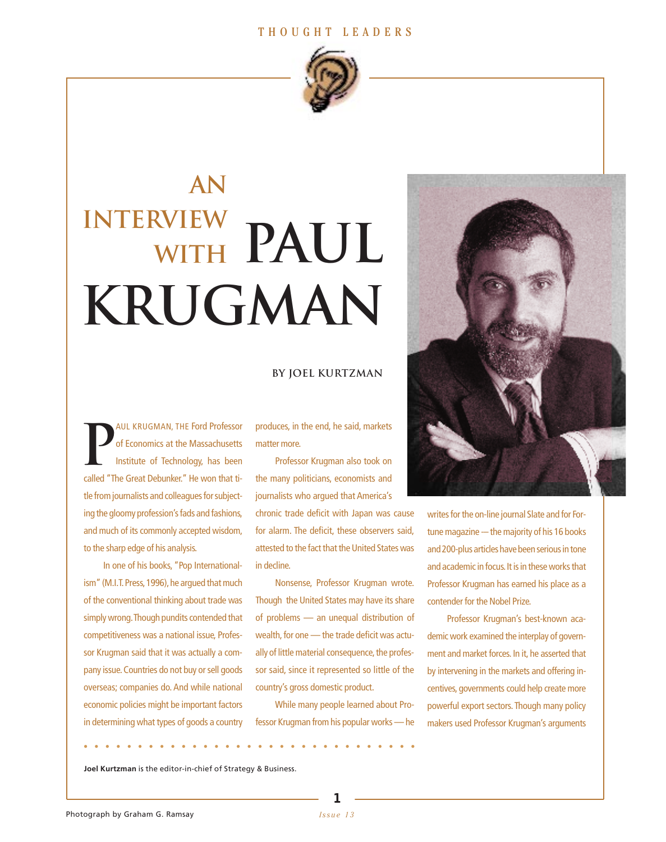

# **AN INTERVIEW**  WITH PAUL **KRUGMAN**

### **By Joel Kurtzman**

AUL KRUGMAN, THE Ford Professor of Economics at the Massachusetts Institute of Technology, has been called "The Great Debunker." He won that title from journalists and colleagues for subjecting the gloomy profession's fads and fashions, and much of its commonly accepted wisdom, to the sharp edge of his analysis. **P**

In one of his books, "Pop Internationalism" (M.I.T. Press, 1996), he argued that much of the conventional thinking about trade was simply wrong.Though pundits contended that competitiveness was a national issue, Professor Krugman said that it was actually a company issue.Countries do not buy or sell goods overseas; companies do. And while national economic policies might be important factors in determining what types of goods a country produces, in the end, he said, markets matter more.

Professor Krugman also took on the many politicians, economists and journalists who argued that America's chronic trade deficit with Japan was cause for alarm. The deficit, these observers said, attested to the fact that the United States was in decline.

Nonsense, Professor Krugman wrote. Though the United States may have its share of problems — an unequal distribution of wealth, for one - the trade deficit was actually of little material consequence, the professor said, since it represented so little of the country's gross domestic product.

While many people learned about Professor Krugman from his popular works — he



writes for the on-line journal Slate and for Fortune magazine -- the majority of his 16 books and 200-plus articles have been serious in tone and academic in focus. It is in these works that Professor Krugman has earned his place as a contender for the Nobel Prize.

Professor Krugman's best-known academicwork examined the interplay of government and market forces. In it, he asserted that by intervening in the markets and offering incentives, governments could help create more powerful export sectors. Though many policy makers used Professor Krugman's arguments

**Joel Kurtzman** is the editor-in-chief of Strategy & Business.

**...............................**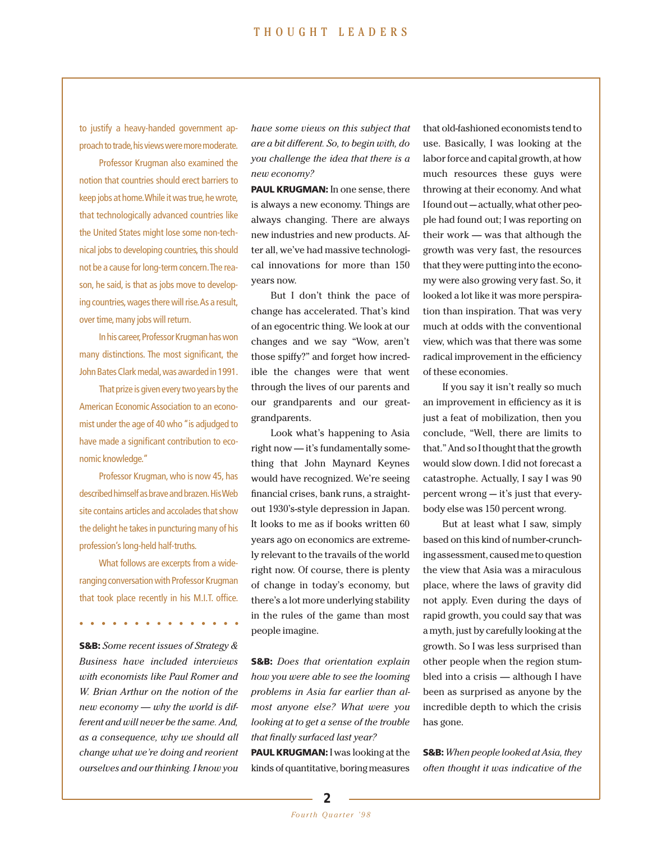to justify a heavy-handed government approach to trade, his views were more moderate.

Professor Krugman also examined the notion that countries should erect barriers to keep jobs at home. While it was true, he wrote, that technologically advanced countries like the United States might lose some non-technical jobs to developing countries, this should not be a cause for long-term concern.The reason, he said, is that as jobs move to developing countries, wages there will rise. As a result, over time, many jobs will return.

In his career, Professor Krugman has won many distinctions. The most significant, the John Bates Clark medal, was awarded in 1991.

That prize is given every two years by the American Economic Association to an economist under the age of 40 who "is adjudged to have made a significant contribution to economic knowledge."

Professor Krugman, who is now 45, has described himself as brave and brazen.His Web site contains articles and accolades that show the delight he takes in puncturing many of his profession's long-held half-truths.

What follows are excerpts from a wideranging conversation with Professor Krugman that took place recently in his M.I.T. office.

**...............**

**S&B:** *Some recent issues of Strategy & Business have included interviews with economists like Paul Romer and W. Brian Arthur on the notion of the new economy — why the world is different and will never be the same. And, as a consequence, why we should all change what we're doing and reorient ourselves and our thinking. I know you* *have some views on this subject that are a bit different. So, to begin with, do you challenge the idea that there is a new economy?*

**PAUL KRUGMAN:** In one sense, there is always a new economy. Things are always changing. There are always new industries and new products. After all, we've had massive technological innovations for more than 150 years now.

But I don't think the pace of change has accelerated. That's kind of an egocentric thing. We look at our changes and we say "Wow, aren't those spiffy?" and forget how incredible the changes were that went through the lives of our parents and our grandparents and our greatgrandparents.

Look what's happening to Asia right now — it's fundamentally something that John Maynard Keynes would have recognized. We're seeing financial crises, bank runs, a straightout 1930's-style depression in Japan. It looks to me as if books written 60 years ago on economics are extremely relevant to the travails of the world right now. Of course, there is plenty of change in today's economy, but there's a lot more underlying stability in the rules of the game than most people imagine.

**S&B:** *Does that orientation explain how you were able to see the looming problems in Asia far earlier than almost anyone else? What were you looking at to get a sense of the trouble that finally surfaced last year?*

**PAUL KRUGMAN:** I was looking at the kinds of quantitative, boring measures

that old-fashioned economists tend to use. Basically, I was looking at the labor force and capital growth, at how much resources these guys were throwing at their economy. And what I found out -- actually, what other people had found out; I was reporting on their work — was that although the growth was very fast, the resources that they were putting into the economy were also growing very fast. So, it looked a lot like it was more perspiration than inspiration. That was very much at odds with the conventional view, which was that there was some radical improvement in the efficiency of these economies.

If you say it isn't really so much an improvement in efficiency as it is just a feat of mobilization, then you conclude, "Well, there are limits to that." And so I thought that the growth would slow down. I did not forecast a catastrophe. Actually, I say I was 90 percent wrong  $-$  it's just that everybody else was 150 percent wrong.

But at least what I saw, simply based on this kind of number-crunching assessment, caused me to question the view that Asia was a miraculous place, where the laws of gravity did not apply. Even during the days of rapid growth, you could say that was a myth, just by carefully looking at the growth. So I was less surprised than other people when the region stumbled into a crisis — although I have been as surprised as anyone by the incredible depth to which the crisis has gone.

**S&B:** *When people looked at Asia, they often thought it was indicative of the*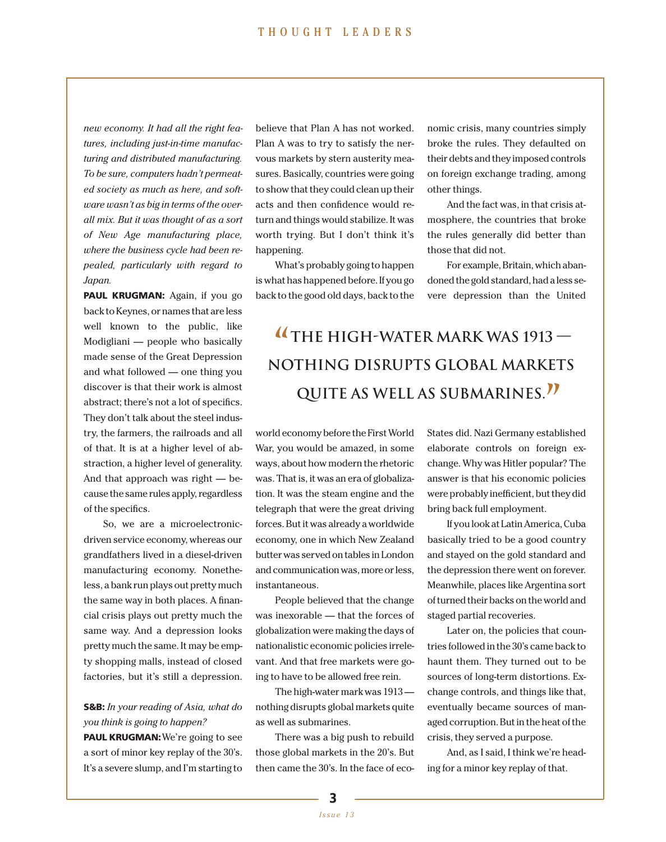*new economy. It had all the right features, including just-in-time manufacturing and distributed manufacturing. To be sure, computers hadn't permeated society as much as here, and software wasn't as big in terms of the overall mix. But it was thought of as a sort of New Age manufacturing place, where the business cycle had been repealed, particularly with regard to Japan.*

PAUL KRUGMAN: Again, if you go back to Keynes, or names that are less well known to the public, like Modigliani — people who basically made sense of the Great Depression and what followed — one thing you discover is that their work is almost abstract; there's not a lot of specifics. They don't talk about the steel industry, the farmers, the railroads and all of that. It is at a higher level of abstraction, a higher level of generality. And that approach was right — because the same rules apply, regardless of the specifics.

So, we are a microelectronicdriven service economy, whereas our grandfathers lived in a diesel-driven manufacturing economy. Nonetheless, a bank run plays out pretty much the same way in both places. A financial crisis plays out pretty much the same way. And a depression looks pretty much the same. It may be empty shopping malls, instead of closed factories, but it's still a depression.

**S&B:** *In your reading of Asia, what do you think is going to happen?* 

**PAUL KRUGMAN:**We're going to see a sort of minor key replay of the 30's. It's a severe slump, and I'm starting to believe that Plan A has not worked. Plan A was to try to satisfy the nervous markets by stern austerity measures. Basically, countries were going to show that they could clean up their acts and then confidence would return and things would stabilize. It was worth trying. But I don't think it's happening.

What's probably going to happen is what has happened before. If you go back to the good old days, back to the

nomic crisis, many countries simply broke the rules. They defaulted on their debts and they imposed controls on foreign exchange trading, among other things.

And the fact was, in that crisis atmosphere, the countries that broke the rules generally did better than those that did not.

For example, Britain, which abandoned the gold standard, had a less severe depression than the United

## **" The high-water mark was 1913 nothing disrupts global markets quite as well as submarines. "**

world economy before the First World War, you would be amazed, in some ways, about how modern the rhetoric was. That is, it was an era of globalization. It was the steam engine and the telegraph that were the great driving forces. But it was already a worldwide economy, one in which New Zealand butter was served on tables in London and communication was, more or less, instantaneous.

People believed that the change was inexorable — that the forces of globalization were making the days of nationalistic economic policies irrelevant. And that free markets were going to have to be allowed free rein.

The high-water mark was 1913 nothing disrupts global markets quite as well as submarines.

There was a big push to rebuild those global markets in the 20's. But then came the 30's. In the face of ecoStates did. Nazi Germany established elaborate controls on foreign exchange. Why was Hitler popular? The answer is that his economic policies were probably inefficient, but they did bring back full employment.

If you look at Latin America, Cuba basically tried to be a good country and stayed on the gold standard and the depression there went on forever. Meanwhile, places like Argentina sort of turned their backs on the world and staged partial recoveries.

Later on, the policies that countries followed in the 30's came back to haunt them. They turned out to be sources of long-term distortions. Exchange controls, and things like that, eventually became sources of managed corruption. But in the heat of the crisis, they served a purpose.

And, as I said, I think we're heading for a minor key replay of that.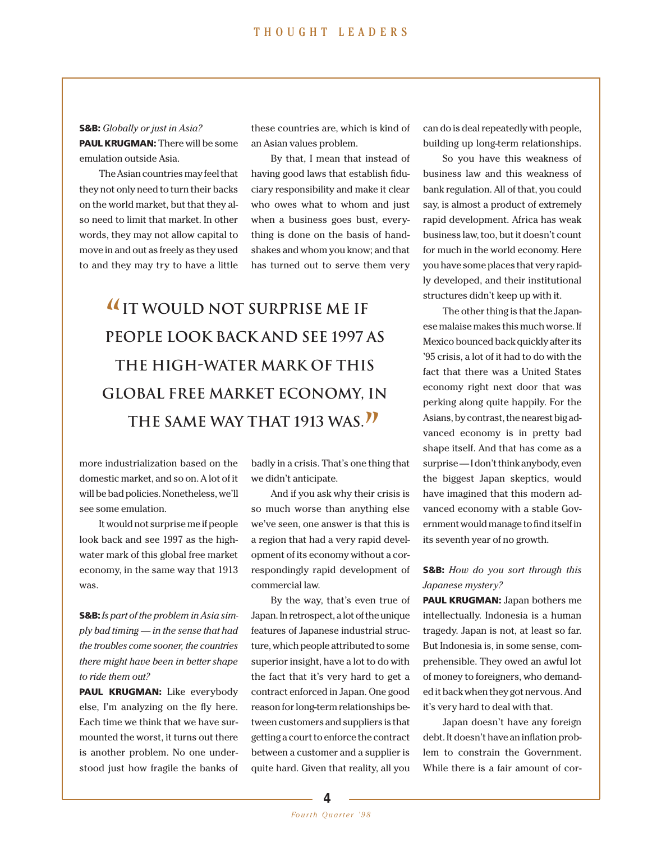#### **S&B:** *Globally or just in Asia?*

**PAUL KRUGMAN:** There will be some emulation outside Asia.

The Asian countries may feel that they not only need to turn their backs on the world market, but that they also need to limit that market. In other words, they may not allow capital to move in and out as freely as they used to and they may try to have a little

these countries are, which is kind of an Asian values problem.

By that, I mean that instead of having good laws that establish fiduciary responsibility and make it clear who owes what to whom and just when a business goes bust, everything is done on the basis of handshakes and whom you know; and that has turned out to serve them very

# **" It would not surprise me if people look back and see 1997 as the high-water mark of this global free market economy, in the same way that 1913 was. "**

more industrialization based on the domestic market, and so on. A lot of it will be bad policies. Nonetheless, we'll see some emulation.

It would not surprise me if people look back and see 1997 as the highwater mark of this global free market economy, in the same way that 1913 was.

**S&B:***Is part of the problem in Asia simply bad timing — in the sense that had the troubles come sooner, the countries there might have been in better shape to ride them out?* 

**PAUL KRUGMAN:** Like everybody else, I'm analyzing on the fly here. Each time we think that we have surmounted the worst, it turns out there is another problem. No one understood just how fragile the banks of badly in a crisis. That's one thing that we didn't anticipate.

And if you ask why their crisis is so much worse than anything else we've seen, one answer is that this is a region that had a very rapid development of its economy without a correspondingly rapid development of commercial law.

By the way, that's even true of Japan. In retrospect, a lot of the unique features of Japanese industrial structure, which people attributed to some superior insight, have a lot to do with the fact that it's very hard to get a contract enforced in Japan. One good reason for long-term relationships between customers and suppliers is that getting a court to enforce the contract between a customer and a supplier is quite hard. Given that reality, all you

can do is deal repeatedly with people, building up long-term relationships.

So you have this weakness of business law and this weakness of bank regulation. All of that, you could say, is almost a product of extremely rapid development. Africa has weak business law, too, but it doesn't count for much in the world economy. Here you have some places that very rapidly developed, and their institutional structures didn't keep up with it.

The other thing is that the Japanese malaise makes this much worse. If Mexico bounced back quickly after its '95 crisis, a lot of it had to do with the fact that there was a United States economy right next door that was perking along quite happily. For the Asians, by contrast, the nearest big advanced economy is in pretty bad shape itself. And that has come as a surprise — I don't think anybody, even the biggest Japan skeptics, would have imagined that this modern advanced economy with a stable Government would manage to find itself in its seventh year of no growth.

#### **S&B:** *How do you sort through this Japanese mystery?*

**PAUL KRUGMAN:** Japan bothers me intellectually. Indonesia is a human tragedy. Japan is not, at least so far. But Indonesia is, in some sense, comprehensible. They owed an awful lot of money to foreigners, who demanded it back when they got nervous. And it's very hard to deal with that.

Japan doesn't have any foreign debt. It doesn't have an inflation problem to constrain the Government. While there is a fair amount of cor-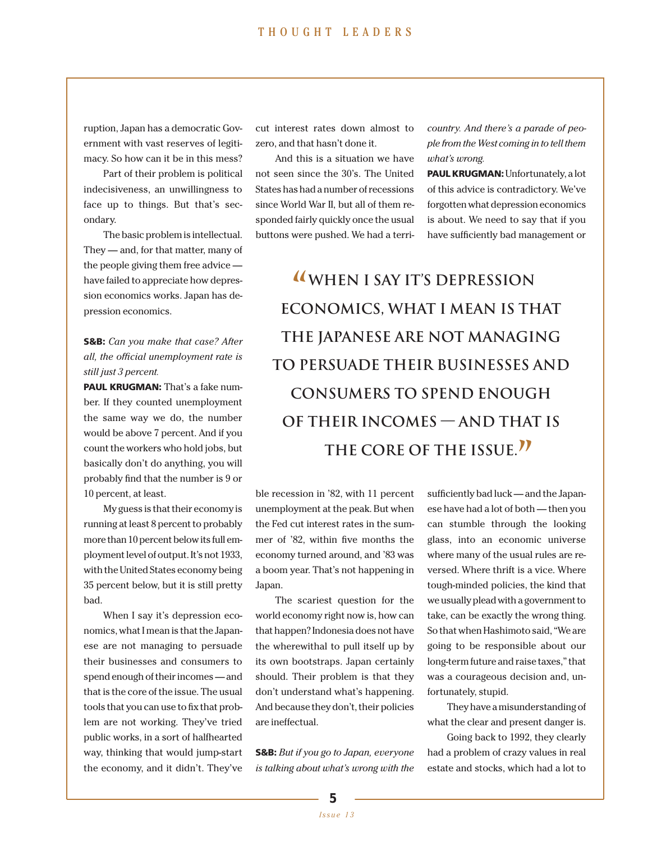ruption, Japan has a democratic Government with vast reserves of legitimacy. So how can it be in this mess?

Part of their problem is political indecisiveness, an unwillingness to face up to things. But that's secondary.

The basic problem is intellectual. They — and, for that matter, many of the people giving them free advice have failed to appreciate how depression economics works. Japan has depression economics.

**S&B:** *Can you make that case? After all, the official unemployment rate is still just 3 percent.*

**PAUL KRUGMAN:** That's a fake number. If they counted unemployment the same way we do, the number would be above 7 percent. And if you count the workers who hold jobs, but basically don't do anything, you will probably find that the number is 9 or 10 percent, at least.

My guess is that their economy is running at least 8 percent to probably more than 10 percent below its full employment level of output. It's not 1933, with the United States economy being 35 percent below, but it is still pretty bad.

When I say it's depression economics, what I mean is that the Japanese are not managing to persuade their businesses and consumers to spend enough of their incomes — and that is the core of the issue. The usual tools that you can use to fix that problem are not working. They've tried public works, in a sort of halfhearted way, thinking that would jump-start the economy, and it didn't. They've cut interest rates down almost to zero, and that hasn't done it.

And this is a situation we have not seen since the 30's. The United States has had a number of recessions since World War II, but all of them responded fairly quickly once the usual buttons were pushed. We had a terri*country. And there's a parade of people from the West coming in to tell them what's wrong.*

**PAUL KRUGMAN:**Unfortunately, a lot of this advice is contradictory. We've forgotten what depression economics is about. We need to say that if you have sufficiently bad management or

**" When I say it's depression economics, what I mean is that the Japanese are not managing to persuade their businesses and consumers to spend enough of their incomes — and that is the core of the issue. "**

ble recession in '82, with 11 percent unemployment at the peak. But when the Fed cut interest rates in the summer of '82, within five months the economy turned around, and '83 was a boom year. That's not happening in Japan.

The scariest question for the world economy right now is, how can that happen? Indonesia does not have the wherewithal to pull itself up by its own bootstraps. Japan certainly should. Their problem is that they don't understand what's happening. And because they don't, their policies are ineffectual.

**S&B:** *But if you go to Japan, everyone is talking about what's wrong with the*

sufficiently bad luck — and the Japanese have had a lot of both — then you can stumble through the looking glass, into an economic universe where many of the usual rules are reversed. Where thrift is a vice. Where tough-minded policies, the kind that we usually plead with a government to take, can be exactly the wrong thing. So that when Hashimoto said, "We are going to be responsible about our long-term future and raise taxes," that was a courageous decision and, unfortunately, stupid.

They have a misunderstanding of what the clear and present danger is.

Going back to 1992, they clearly had a problem of crazy values in real estate and stocks, which had a lot to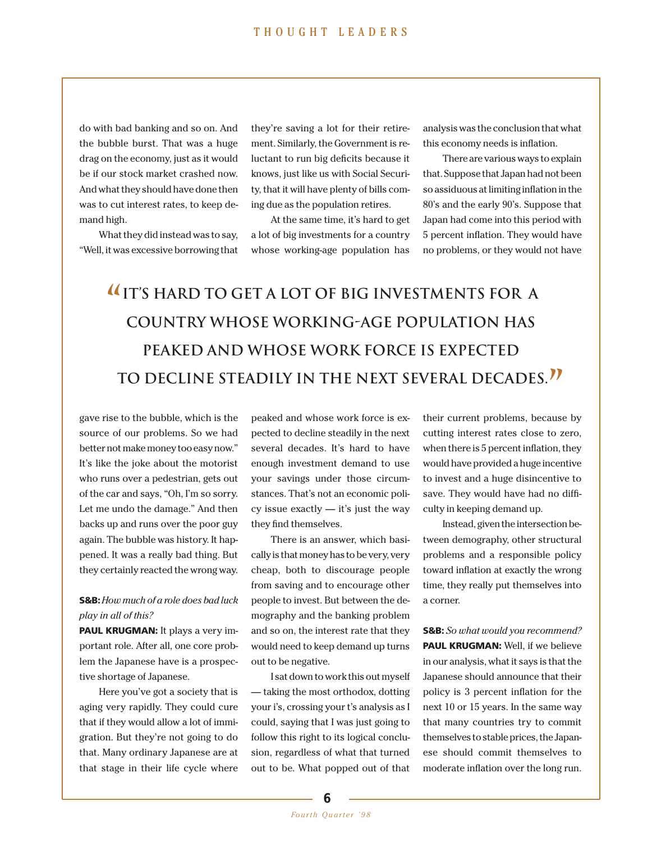do with bad banking and so on. And the bubble burst. That was a huge drag on the economy, just as it would be if our stock market crashed now. And what they should have done then was to cut interest rates, to keep demand high.

What they did instead was to say, "Well, it was excessive borrowing that they're saving a lot for their retirement. Similarly, the Government is reluctant to run big deficits because it knows, just like us with Social Security, that it will have plenty of bills coming due as the population retires.

At the same time, it's hard to get a lot of big investments for a country whose working-age population has

analysis was the conclusion that what this economy needs is inflation.

There are various ways to explain that. Suppose that Japan had not been so assiduous at limiting inflation in the 80's and the early 90's. Suppose that Japan had come into this period with 5 percent inflation. They would have no problems, or they would not have

## **" it's hard to get a lot of big investments for a country whose working-age population has peaked and whose work force is expected to decline steadily in the next several decades. "**

gave rise to the bubble, which is the source of our problems. So we had better not make money too easy now." It's like the joke about the motorist who runs over a pedestrian, gets out of the car and says, "Oh, I'm so sorry. Let me undo the damage." And then backs up and runs over the poor guy again. The bubble was history. It happened. It was a really bad thing. But they certainly reacted the wrong way.

#### **S&B:***How much of a role does bad luck play in all of this?*

**PAUL KRUGMAN:** It plays a very important role. After all, one core problem the Japanese have is a prospective shortage of Japanese.

Here you've got a society that is aging very rapidly. They could cure that if they would allow a lot of immigration. But they're not going to do that. Many ordinary Japanese are at that stage in their life cycle where peaked and whose work force is expected to decline steadily in the next several decades. It's hard to have enough investment demand to use your savings under those circumstances. That's not an economic policy issue exactly — it's just the way they find themselves.

There is an answer, which basically is that money has to be very, very cheap, both to discourage people from saving and to encourage other people to invest. But between the demography and the banking problem and so on, the interest rate that they would need to keep demand up turns out to be negative.

I sat down to work this out myself — taking the most orthodox, dotting your i's, crossing your t's analysis as I could, saying that I was just going to follow this right to its logical conclusion, regardless of what that turned out to be. What popped out of that

their current problems, because by cutting interest rates close to zero, when there is 5 percent inflation, they would have provided a huge incentive to invest and a huge disincentive to save. They would have had no difficulty in keeping demand up.

Instead, given the intersection between demography, other structural problems and a responsible policy toward inflation at exactly the wrong time, they really put themselves into a corner.

**S&B:** *So what would you recommend?* **PAUL KRUGMAN:** Well, if we believe in our analysis, what it says is that the Japanese should announce that their policy is 3 percent inflation for the next 10 or 15 years. In the same way that many countries try to commit themselves to stable prices, the Japanese should commit themselves to moderate inflation over the long run.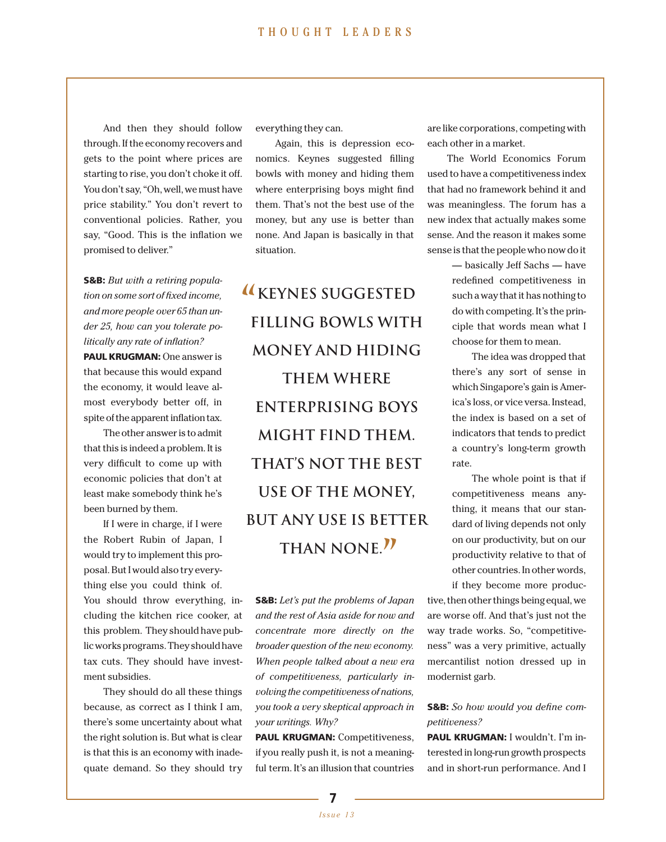And then they should follow through. If the economy recovers and gets to the point where prices are starting to rise, you don't choke it off. You don't say, "Oh, well, we must have price stability." You don't revert to conventional policies. Rather, you say, "Good. This is the inflation we promised to deliver."

**S&B:** *But with a retiring population on some sort of fixed income, and more people over 65 than under 25, how can you tolerate politically any rate of inflation?* **PAUL KRUGMAN:** One answer is that because this would expand the economy, it would leave almost everybody better off, in spite of the apparent inflation tax.

The other answer is to admit that this is indeed a problem. It is very difficult to come up with economic policies that don't at least make somebody think he's been burned by them.

If I were in charge, if I were the Robert Rubin of Japan, I would try to implement this proposal.ButIwould also try everything else you could think of. You should throw everything, including the kitchen rice cooker, at this problem. They should have public works programs. They should have tax cuts. They should have investment subsidies.

They should do all these things because, as correct as I think I am, there's some uncertainty about what the right solution is. But what is clear is that this is an economy with inadequate demand. So they should try

everything they can.

Again, this is depression economics. Keynes suggested filling bowls with money and hiding them where enterprising boys might find them. That's not the best use of the money, but any use is better than none. And Japan is basically in that situation.

**" Keynes suggested filling bowls with money and hiding them where enterprising boys might find them. That's not the best use of the money, but any use is better than none. "**

**S&B:** *Let's put the problems of Japan and the rest of Asia aside for now and concentrate more directly on the broader question of the new economy. When people talked about a new era of competitiveness, particularly involving the competitiveness of nations, you took a very skeptical approach in your writings. Why?* 

PAUL KRUGMAN: Competitiveness, if you really push it, is not a meaningful term. It's an illusion that countries are like corporations, competing with each other in a market.

The World Economics Forum used to have a competitiveness index that had no framework behind it and was meaningless. The forum has a new index that actually makes some sense. And the reason it makes some sense is that the people who now do it

> — basically Jeff Sachs — have redefined competitiveness in such a way that it has nothing to do with competing. It's the principle that words mean what I choose for them to mean.

> The idea was dropped that there's any sort of sense in which Singapore's gain is America's loss, or vice versa. Instead, the index is based on a set of indicators that tends to predict a country's long-term growth rate.

> The whole point is that if competitiveness means anything, it means that our standard of living depends not only on our productivity, but on our productivity relative to that of other countries. In other words, if they become more produc-

tive, then other things being equal, we are worse off. And that's just not the way trade works. So, "competitiveness" was a very primitive, actually mercantilist notion dressed up in modernist garb.

### **S&B:** *So how would you define competitiveness?*

PAUL KRUGMAN: I wouldn't. I'm interested in long-run growth prospects and in short-run performance. And I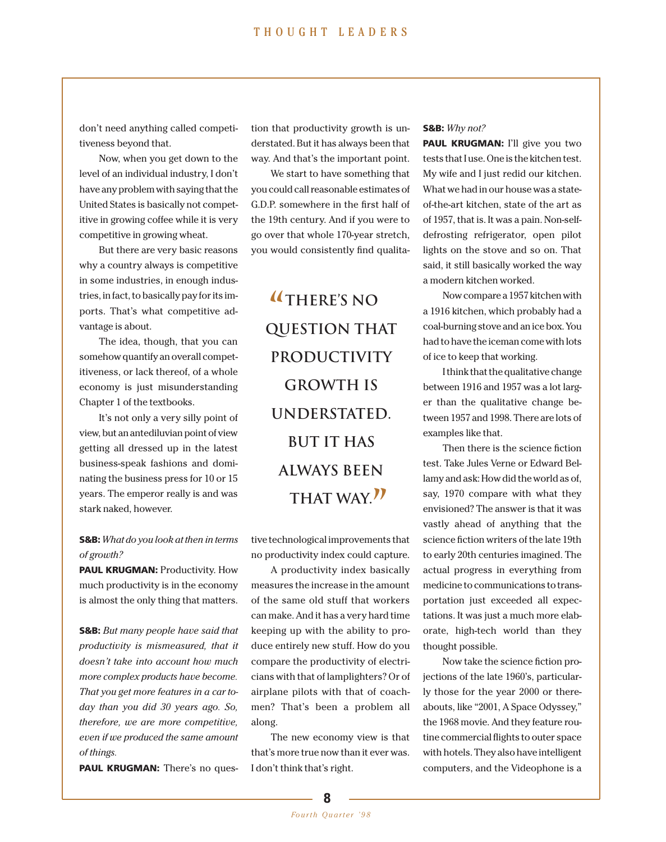don't need anything called competitiveness beyond that.

Now, when you get down to the level of an individual industry, I don't have any problem with saying that the United States is basically not competitive in growing coffee while it is very competitive in growing wheat.

But there are very basic reasons why a country always is competitive in some industries, in enough industries, in fact, to basically pay for its imports. That's what competitive advantage is about.

The idea, though, that you can somehow quantify an overall competitiveness, or lack thereof, of a whole economy is just misunderstanding Chapter 1 of the textbooks.

It's not only a very silly point of view, but an antediluvian point of view getting all dressed up in the latest business-speak fashions and dominating the business press for 10 or 15 years. The emperor really is and was stark naked, however.

### **S&B:** *What do you look at then in terms of growth?*

**PAUL KRUGMAN:** Productivity. How much productivity is in the economy is almost the only thing that matters.

**S&B:** *But many people have said that productivity is mismeasured, that it doesn't take into account how much more complex products have become. That you get more features in a car today than you did 30 years ago. So, therefore, we are more competitive, even if we produced the same amount of things.* 

PAUL KRUGMAN: There's no ques-

tion that productivity growth is understated. But it has always been that way. And that's the important point.

We start to have something that you could call reasonable estimates of G.D.P. somewhere in the first half of the 19th century. And if you were to go over that whole 170-year stretch, you would consistently find qualita-

**" there's no question that productivity growth is understated. But it has always been THAT WAY. "**

tive technological improvements that no productivity index could capture.

A productivity index basically measures the increase in the amount of the same old stuff that workers can make. And it has a very hard time keeping up with the ability to produce entirely new stuff. How do you compare the productivity of electricians with that of lamplighters? Or of airplane pilots with that of coachmen? That's been a problem all along.

The new economy view is that that's more true now than it ever was. I don't think that's right.

#### **S&B:** *Why not?*

PAUL KRUGMAN: I'll give you two tests that I use. One is the kitchen test. My wife and I just redid our kitchen. What we had in our house was a stateof-the-art kitchen, state of the art as of 1957, that is. It was a pain. Non-selfdefrosting refrigerator, open pilot lights on the stove and so on. That said, it still basically worked the way a modern kitchen worked.

Now compare a 1957 kitchen with a 1916 kitchen, which probably had a coal-burning stove and an ice box. You had to have the iceman come with lots of ice to keep that working.

I think that the qualitative change between 1916 and 1957 was a lot larger than the qualitative change between 1957 and 1998. There are lots of examples like that.

Then there is the science fiction test. Take Jules Verne or Edward Bellamy and ask: How did the world as of, say, 1970 compare with what they envisioned? The answer is that it was vastly ahead of anything that the science fiction writers of the late 19th to early 20th centuries imagined. The actual progress in everything from medicine to communications to transportation just exceeded all expectations. It was just a much more elaborate, high-tech world than they thought possible.

Now take the science fiction projections of the late 1960's, particularly those for the year 2000 or thereabouts, like "2001, A Space Odyssey," the 1968 movie. And they feature routine commercial flights to outer space with hotels. They also have intelligent computers, and the Videophone is a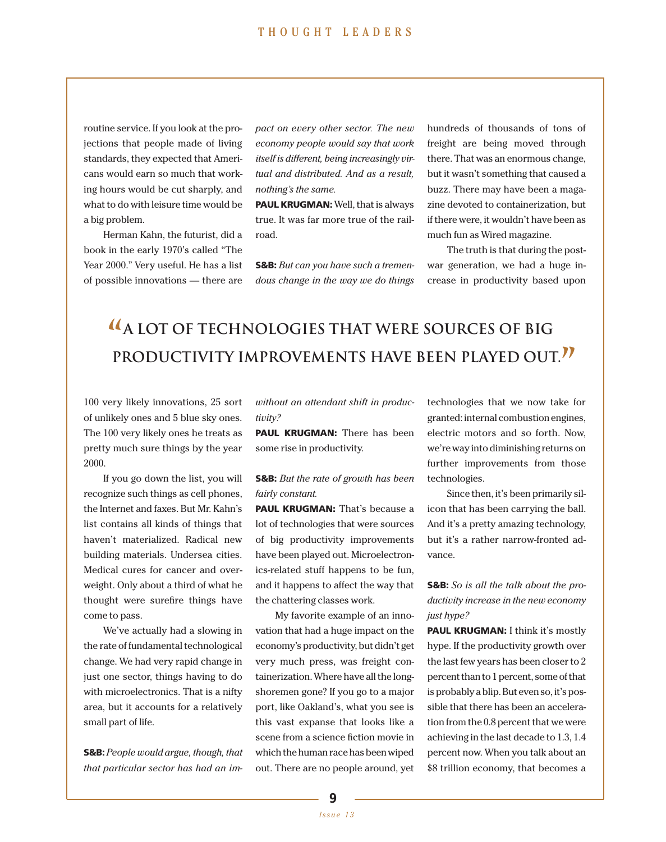routine service. If you look at the projections that people made of living standards, they expected that Americans would earn so much that working hours would be cut sharply, and what to do with leisure time would be a big problem.

Herman Kahn, the futurist, did a book in the early 1970's called "The Year 2000." Very useful. He has a list of possible innovations — there are

*pact on every other sector. The new economy people would say that work itself is different, being increasingly virtual and distributed. And as a result, nothing's the same.*

**PAUL KRUGMAN:** Well, that is always true. It was far more true of the railroad.

**S&B:** *But can you have such a tremendous change in the way we do things*

hundreds of thousands of tons of freight are being moved through there. That was an enormous change, but it wasn't something that caused a buzz. There may have been a magazine devoted to containerization, but if there were, it wouldn't have been as much fun as Wired magazine.

The truth is that during the postwar generation, we had a huge increase in productivity based upon

## **" a lot of technologies that were sources of big productivity improvements have been played out. "**

100 very likely innovations, 25 sort of unlikely ones and 5 blue sky ones. The 100 very likely ones he treats as pretty much sure things by the year 2000.

If you go down the list, you will recognize such things as cell phones, the Internet and faxes. But Mr. Kahn's list contains all kinds of things that haven't materialized. Radical new building materials. Undersea cities. Medical cures for cancer and overweight. Only about a third of what he thought were surefire things have come to pass.

We've actually had a slowing in the rate of fundamental technological change. We had very rapid change in just one sector, things having to do with microelectronics. That is a nifty area, but it accounts for a relatively small part of life.

**S&B:** *People would argue, though, that that particular sector has had an im-* *without an attendant shift in productivity?*

**PAUL KRUGMAN:** There has been some rise in productivity.

#### **S&B:** *But the rate of growth has been fairly constant.*

**PAUL KRUGMAN:** That's because a lot of technologies that were sources of big productivity improvements have been played out. Microelectronics-related stuff happens to be fun, and it happens to affect the way that the chattering classes work.

My favorite example of an innovation that had a huge impact on the economy's productivity, but didn't get very much press, was freight containerization. Where have all the longshoremen gone? If you go to a major port, like Oakland's, what you see is this vast expanse that looks like a scene from a science fiction movie in which the human race has been wiped out. There are no people around, yet

technologies that we now take for granted: internal combustion engines, electric motors and so forth. Now, we're way into diminishing returns on further improvements from those technologies.

Since then, it's been primarily silicon that has been carrying the ball. And it's a pretty amazing technology, but it's a rather narrow-fronted advance.

## **S&B:** *So is all the talk about the productivity increase in the new economy just hype?*

PAUL KRUGMAN: I think it's mostly hype. If the productivity growth over the last few years has been closer to 2 percent than to 1 percent, some of that is probably a blip. But even so, it's possible that there has been an acceleration from the 0.8 percent that we were achieving in the last decade to 1.3, 1.4 percent now. When you talk about an \$8 trillion economy, that becomes a